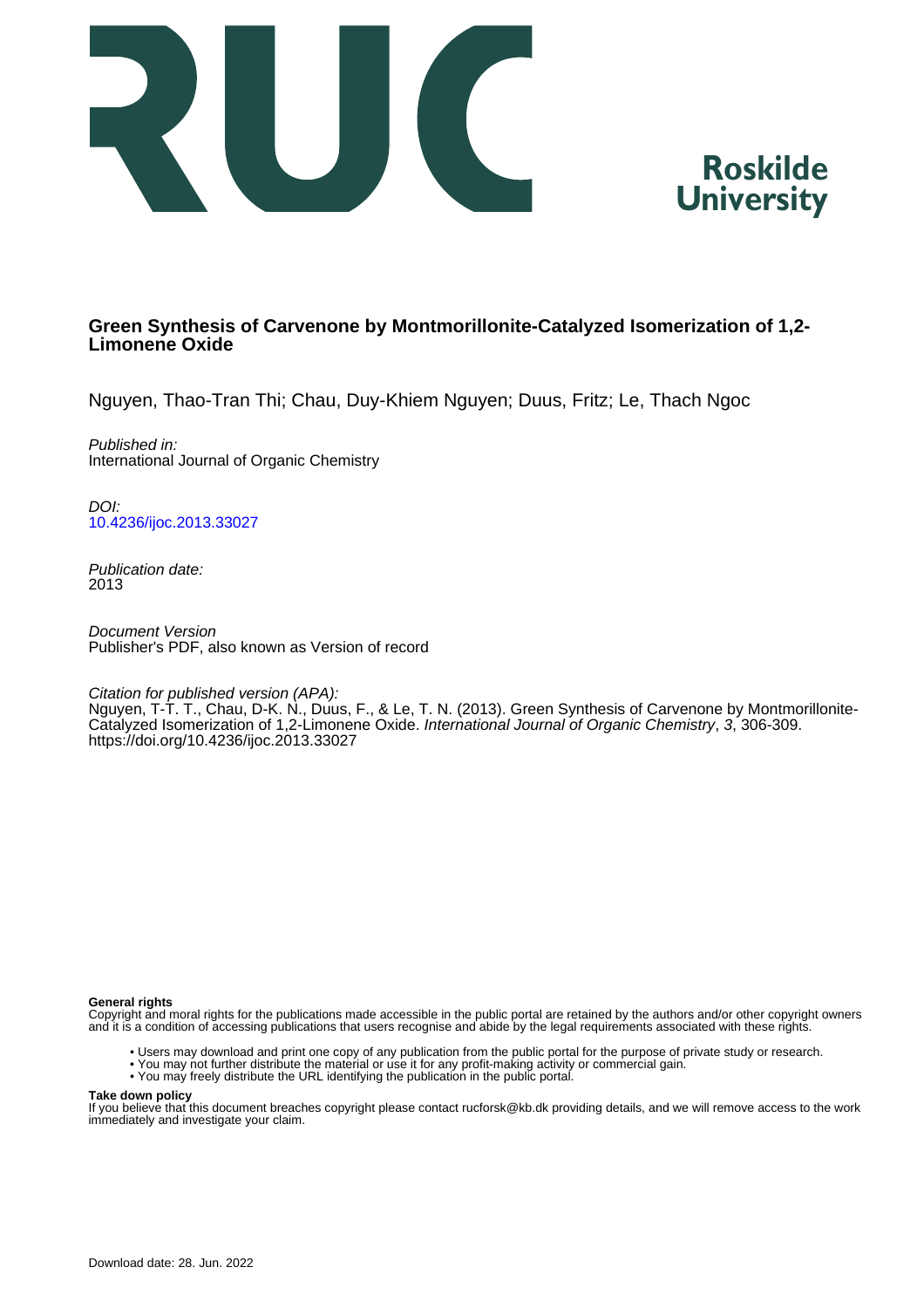



# **Green Synthesis of Carvenone by Montmorillonite-Catalyzed Isomerization of 1,2- Limonene Oxide**

Nguyen, Thao-Tran Thi; Chau, Duy-Khiem Nguyen; Duus, Fritz; Le, Thach Ngoc

Published in: International Journal of Organic Chemistry

DOI: [10.4236/ijoc.2013.33027](https://doi.org/10.4236/ijoc.2013.33027)

Publication date: 2013

Document Version Publisher's PDF, also known as Version of record

Citation for published version (APA):

Nguyen, T-T. T., Chau, D-K. N., Duus, F., & Le, T. N. (2013). Green Synthesis of Carvenone by Montmorillonite-Catalyzed Isomerization of 1,2-Limonene Oxide. International Journal of Organic Chemistry, 3, 306-309. <https://doi.org/10.4236/ijoc.2013.33027>

#### **General rights**

Copyright and moral rights for the publications made accessible in the public portal are retained by the authors and/or other copyright owners and it is a condition of accessing publications that users recognise and abide by the legal requirements associated with these rights.

- Users may download and print one copy of any publication from the public portal for the purpose of private study or research.
- You may not further distribute the material or use it for any profit-making activity or commercial gain.
- You may freely distribute the URL identifying the publication in the public portal.

#### **Take down policy**

If you believe that this document breaches copyright please contact rucforsk@kb.dk providing details, and we will remove access to the work immediately and investigate your claim.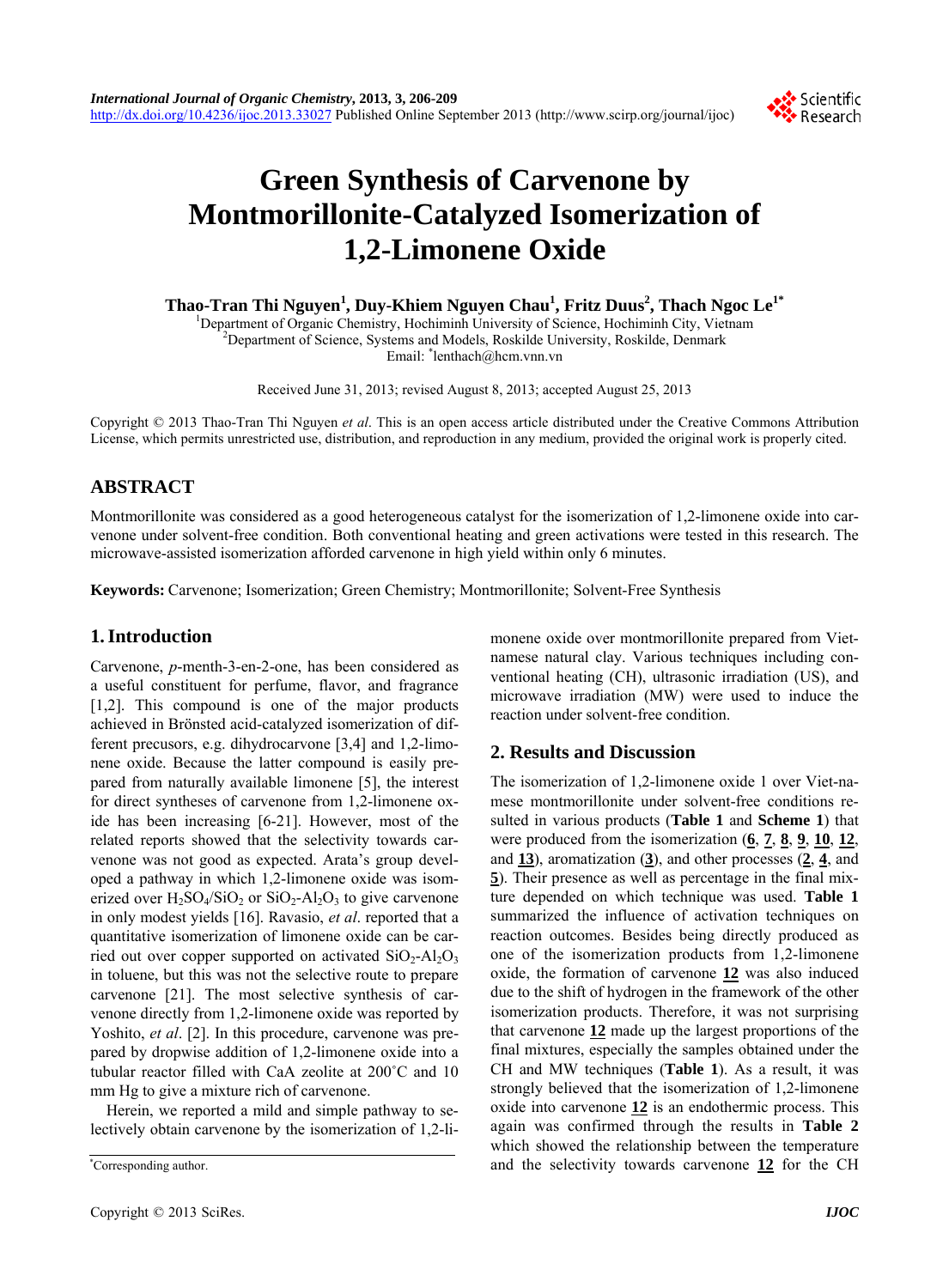

# **Green Synthesis of Carvenone by Montmorillonite-Catalyzed Isomerization of 1,2-Limonene Oxide**

**Thao-Tran Thi Nguyen<sup>1</sup> , Duy-Khiem Nguyen Chau1 , Fritz Duus2 , Thach Ngoc Le1\***

<sup>1</sup>Department of Organic Chemistry, Hochiminh University of Science, Hochiminh City, Vietnam <sup>2</sup>Department of Science, Systems and Models, Bockilda University, Bockilda, Department  $P^2$ Department of Science, Systems and Models, Roskilde University, Roskilde, Denmark Email: \* lenthach@hcm.vnn.vn

Received June 31, 2013; revised August 8, 2013; accepted August 25, 2013

Copyright © 2013 Thao-Tran Thi Nguyen *et al*. This is an open access article distributed under the Creative Commons Attribution License, which permits unrestricted use, distribution, and reproduction in any medium, provided the original work is properly cited.

# **ABSTRACT**

Montmorillonite was considered as a good heterogeneous catalyst for the isomerization of 1,2-limonene oxide into carvenone under solvent-free condition. Both conventional heating and green activations were tested in this research. The microwave-assisted isomerization afforded carvenone in high yield within only 6 minutes.

**Keywords:** Carvenone; Isomerization; Green Chemistry; Montmorillonite; Solvent-Free Synthesis

# **1. Introduction**

Carvenone, *p*-menth-3-en-2-one, has been considered as a useful constituent for perfume, flavor, and fragrance [1,2]. This compound is one of the major products achieved in Brönsted acid-catalyzed isomerization of different precusors, e.g. dihydrocarvone [3,4] and 1,2-limonene oxide. Because the latter compound is easily prepared from naturally available limonene [5], the interest for direct syntheses of carvenone from 1,2-limonene oxide has been increasing [6-21]. However, most of the related reports showed that the selectivity towards carvenone was not good as expected. Arata's group developed a pathway in which 1,2-limonene oxide was isomerized over  $H_2SO_4/SiO_2$  or  $SiO_2-Al_2O_3$  to give carvenone in only modest yields [16]. Ravasio, *et al*. reported that a quantitative isomerization of limonene oxide can be carried out over copper supported on activated  $SiO<sub>2</sub>-Al<sub>2</sub>O<sub>3</sub>$ in toluene, but this was not the selective route to prepare carvenone [21]. The most selective synthesis of carvenone directly from 1,2-limonene oxide was reported by Yoshito, *et al.* [2]. In this procedure, carvenone was prepared by dropwise addition of 1,2-limonene oxide into a tubular reactor filled with CaA zeolite at 200˚C and 10 mm Hg to give a mixture rich of carvenone.

Herein, we reported a mild and simple pathway to selectively obtain carvenone by the isomerization of 1,2-limonene oxide over montmorillonite prepared from Vietnamese natural clay. Various techniques including conventional heating (CH), ultrasonic irradiation (US), and microwave irradiation (MW) were used to induce the reaction under solvent-free condition.

## **2. Results and Discussion**

The isomerization of 1,2-limonene oxide 1 over Viet-namese montmorillonite under solvent-free conditions resulted in various products (**Table 1** and **Scheme 1**) that were produced from the isomerization (**6**, **7**, **8**, **9**, **10**, **12**, and **13**), aromatization (**3**), and other processes (**2**, **4**, and **5**). Their presence as well as percentage in the final mixture depended on which technique was used. **Table 1** summarized the influence of activation techniques on reaction outcomes. Besides being directly produced as one of the isomerization products from 1,2-limonene oxide, the formation of carvenone **12** was also induced due to the shift of hydrogen in the framework of the other isomerization products. Therefore, it was not surprising that carvenone **12** made up the largest proportions of the final mixtures, especially the samples obtained under the CH and MW techniques (**Table 1**). As a result, it was strongly believed that the isomerization of 1,2-limonene oxide into carvenone **12** is an endothermic process. This again was confirmed through the results in **Table 2** which showed the relationship between the temperature and the selectivity towards carvenone **12** for the CH \*

Corresponding author.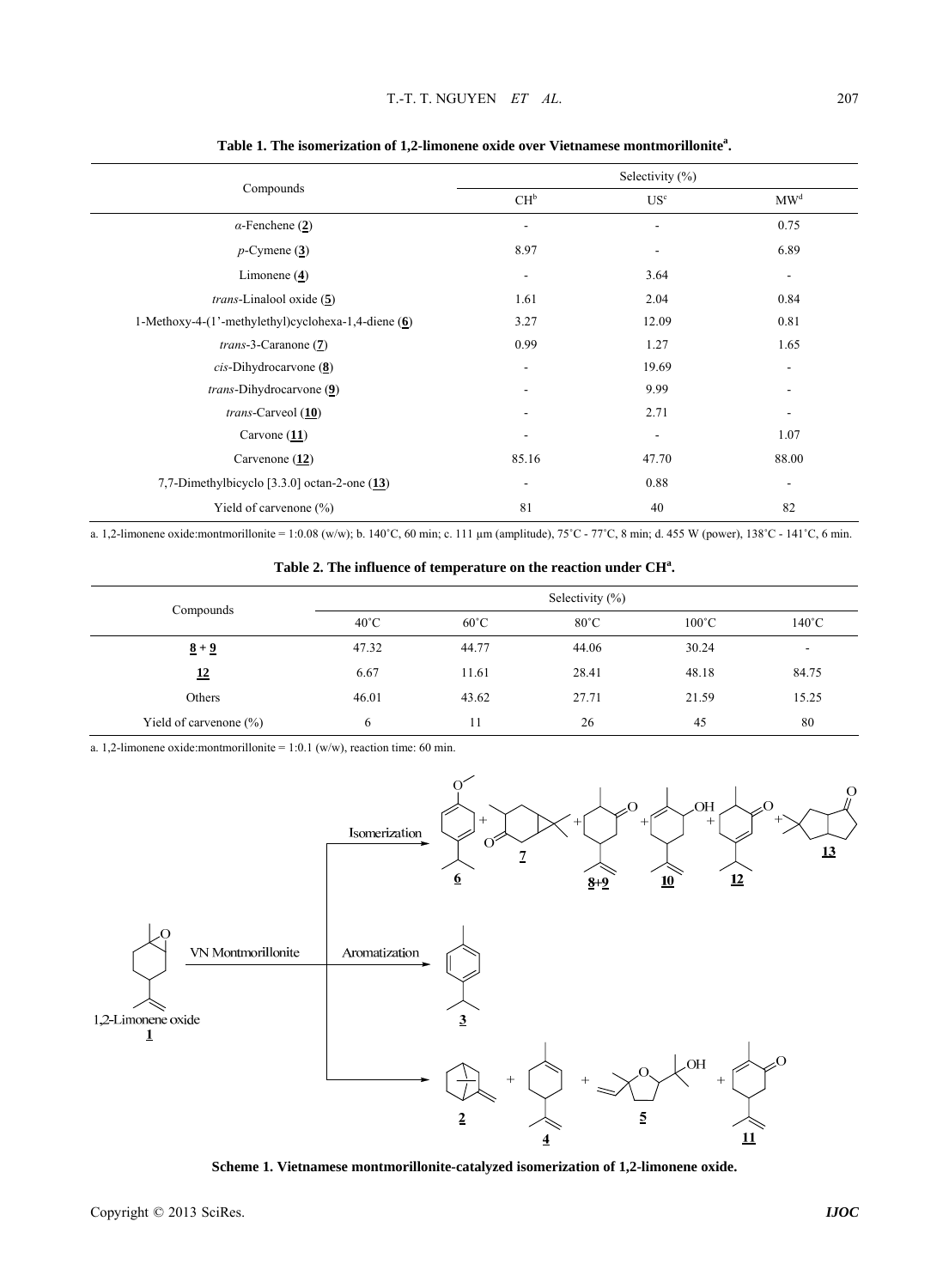| Compounds                                             |                          | Selectivity $(\%)$       |                          |
|-------------------------------------------------------|--------------------------|--------------------------|--------------------------|
|                                                       | $CH^b$                   | US <sup>c</sup>          | MW <sup>d</sup>          |
| $\alpha$ -Fenchene (2)                                | $\overline{\phantom{a}}$ | $\overline{a}$           | 0.75                     |
| $p$ -Cymene $(3)$                                     | 8.97                     |                          | 6.89                     |
| Limonene $(4)$                                        | $\overline{\phantom{a}}$ | 3.64                     | $\overline{\phantom{a}}$ |
| <i>trans</i> -Linalool oxide $(5)$                    | 1.61                     | 2.04                     | 0.84                     |
| 1-Methoxy-4-(1'-methylethyl)cyclohexa-1,4-diene $(6)$ | 3.27                     | 12.09                    | 0.81                     |
| $trans-3$ -Caranone $(7)$                             | 0.99                     | 1.27                     | 1.65                     |
| $cis$ -Dihydrocarvone $(8)$                           | $\overline{\phantom{a}}$ | 19.69                    | $\overline{\phantom{a}}$ |
| <i>trans</i> -Dihydrocarvone (9)                      | ٠                        | 9.99                     | ٠                        |
| $trans-Carveol(10)$                                   | ٠                        | 2.71                     | -                        |
| Carvone $(11)$                                        | $\overline{\phantom{a}}$ | $\overline{\phantom{a}}$ | 1.07                     |
| Carvenone $(12)$                                      | 85.16                    | 47.70                    | 88.00                    |
| 7,7-Dimethylbicyclo $[3.3.0]$ octan-2-one $(13)$      | $\overline{\phantom{a}}$ | 0.88                     | $\overline{\phantom{a}}$ |
| Yield of carvenone (%)                                | 81                       | 40                       | 82                       |

**Table 1. The isomerization of 1,2-limonene oxide over Vietnamese montmorillonite<sup>a</sup> .**

a. 1,2-limonene oxide:montmorillonite = 1:0.08 (w/w); b. 140°C, 60 min; c. 111 µm (amplitude), 75°C - 77°C, 8 min; d. 455 W (power), 138°C - 141°C, 6 min.

Table 2. The influence of temperature on the reaction under CH<sup>a</sup>.

| Compounds                  | Selectivity $(\% )$ |                |                |                 |                          |  |
|----------------------------|---------------------|----------------|----------------|-----------------|--------------------------|--|
|                            | $40^{\circ}$ C      | $60^{\circ}$ C | $80^{\circ}$ C | $100^{\circ}$ C | $140^{\circ}$ C          |  |
| $\frac{8+9}{5}$            | 47.32               | 44.77          | 44.06          | 30.24           | $\overline{\phantom{a}}$ |  |
| <u>12</u>                  | 6.67                | 11.61          | 28.41          | 48.18           | 84.75                    |  |
| Others                     | 46.01               | 43.62          | 27.71          | 21.59           | 15.25                    |  |
| Yield of carvenone $(\% )$ | 6                   | 11             | 26             | 45              | 80                       |  |

a. 1,2-limonene oxide:montmorillonite =  $1:0.1$  (w/w), reaction time: 60 min.



**Scheme 1. Vietnamese montmorillonite-catalyzed isomerization of 1,2-limonene oxide.**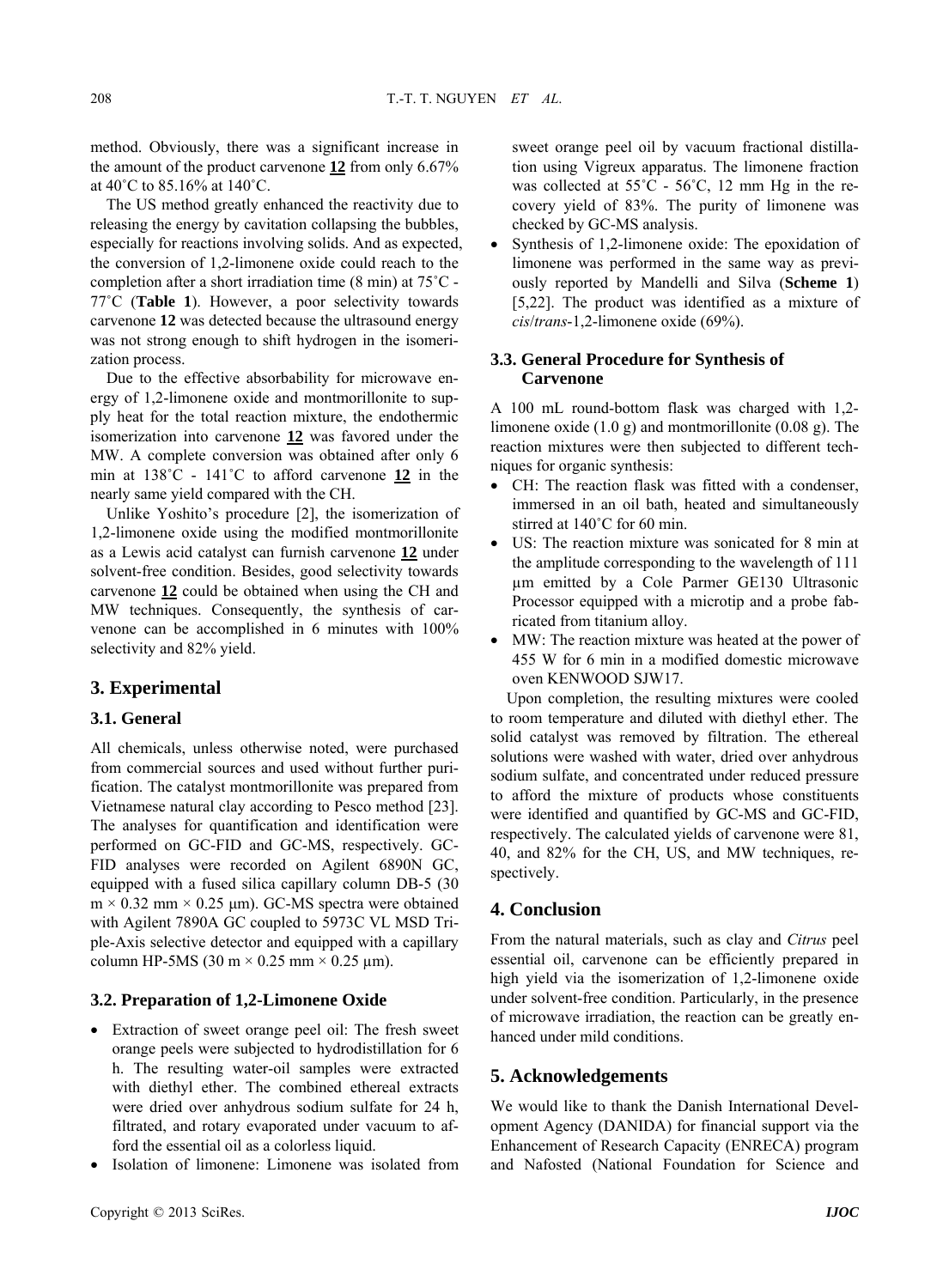method. Obviously, there was a significant increase in the amount of the product carvenone **12** from only 6.67% at 40˚C to 85.16% at 140˚C.

The US method greatly enhanced the reactivity due to releasing the energy by cavitation collapsing the bubbles, especially for reactions involving solids. And as expected, the conversion of 1,2-limonene oxide could reach to the completion after a short irradiation time (8 min) at 75˚C - 77˚C (**Table 1**). However, a poor selectivity towards carvenone **12** was detected because the ultrasound energy was not strong enough to shift hydrogen in the isomerization process.

Due to the effective absorbability for microwave energy of 1,2-limonene oxide and montmorillonite to supply heat for the total reaction mixture, the endothermic isomerization into carvenone **12** was favored under the MW. A complete conversion was obtained after only 6 min at 138˚C - 141˚C to afford carvenone **12** in the nearly same yield compared with the CH.

Unlike Yoshito's procedure [2], the isomerization of 1,2-limonene oxide using the modified montmorillonite as a Lewis acid catalyst can furnish carvenone **12** under solvent-free condition. Besides, good selectivity towards carvenone **12** could be obtained when using the CH and MW techniques. Consequently, the synthesis of carvenone can be accomplished in 6 minutes with 100% selectivity and 82% yield.

## **3. Experimental**

#### **3.1. General**

All chemicals, unless otherwise noted, were purchased from commercial sources and used without further purification. The catalyst montmorillonite was prepared from Vietnamese natural clay according to Pesco method [23]. The analyses for quantification and identification were performed on GC-FID and GC-MS, respectively. GC-FID analyses were recorded on Agilent 6890N GC, equipped with a fused silica capillary column DB-5 (30  $m \times 0.32$  mm  $\times 0.25$  μm). GC-MS spectra were obtained with Agilent 7890A GC coupled to 5973C VL MSD Triple-Axis selective detector and equipped with a capillary column HP-5MS (30 m  $\times$  0.25 mm  $\times$  0.25 µm).

## **3.2. Preparation of 1,2-Limonene Oxide**

- Extraction of sweet orange peel oil: The fresh sweet orange peels were subjected to hydrodistillation for 6 h. The resulting water-oil samples were extracted with diethyl ether. The combined ethereal extracts were dried over anhydrous sodium sulfate for 24 h, filtrated, and rotary evaporated under vacuum to afford the essential oil as a colorless liquid.
- Isolation of limonene: Limonene was isolated from

sweet orange peel oil by vacuum fractional distillation using Vigreux apparatus. The limonene fraction was collected at  $55^{\circ}$ C -  $56^{\circ}$ C, 12 mm Hg in the recovery yield of 83%. The purity of limonene was checked by GC-MS analysis.

 Synthesis of 1,2-limonene oxide: The epoxidation of limonene was performed in the same way as previously reported by Mandelli and Silva (**Scheme 1**) [5,22]. The product was identified as a mixture of *cis*/*trans*-1,2-limonene oxide (69%).

#### **3.3. General Procedure for Synthesis of Carvenone**

A 100 mL round-bottom flask was charged with 1,2 limonene oxide (1.0 g) and montmorillonite (0.08 g). The reaction mixtures were then subjected to different techniques for organic synthesis:

- CH: The reaction flask was fitted with a condenser, immersed in an oil bath, heated and simultaneously stirred at 140˚C for 60 min.
- US: The reaction mixture was sonicated for 8 min at the amplitude corresponding to the wavelength of 111 µm emitted by a Cole Parmer GE130 Ultrasonic Processor equipped with a microtip and a probe fabricated from titanium alloy.
- MW: The reaction mixture was heated at the power of 455 W for 6 min in a modified domestic microwave oven KENWOOD SJW17.

Upon completion, the resulting mixtures were cooled to room temperature and diluted with diethyl ether. The solid catalyst was removed by filtration. The ethereal solutions were washed with water, dried over anhydrous sodium sulfate, and concentrated under reduced pressure to afford the mixture of products whose constituents were identified and quantified by GC-MS and GC-FID, respectively. The calculated yields of carvenone were 81, 40, and 82% for the CH, US, and MW techniques, respectively.

#### **4. Conclusion**

From the natural materials, such as clay and *Citrus* peel essential oil, carvenone can be efficiently prepared in high yield via the isomerization of 1,2-limonene oxide under solvent-free condition. Particularly, in the presence of microwave irradiation, the reaction can be greatly enhanced under mild conditions.

#### **5. Acknowledgements**

We would like to thank the Danish International Development Agency (DANIDA) for financial support via the Enhancement of Research Capacity (ENRECA) program and Nafosted (National Foundation for Science and